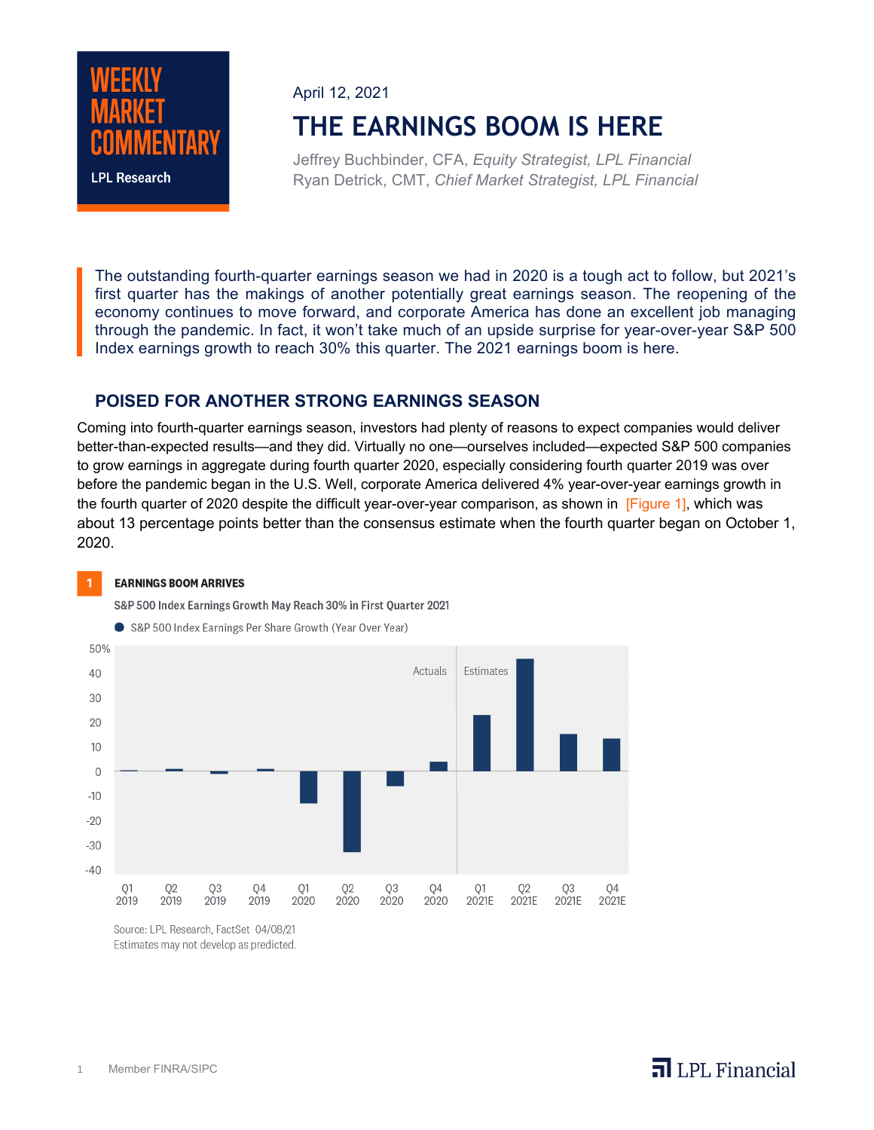

## April 12, 2021

# **THE EARNINGS BOOM IS HERE**

Jeffrey Buchbinder, CFA, *Equity Strategist, LPL Financial* Ryan Detrick, CMT, *Chief Market Strategist, LPL Financial*

The outstanding fourth-quarter earnings season we had in 2020 is a tough act to follow, but 2021's first quarter has the makings of another potentially great earnings season. The reopening of the economy continues to move forward, and corporate America has done an excellent job managing through the pandemic. In fact, it won't take much of an upside surprise for year-over-year S&P 500 Index earnings growth to reach 30% this quarter. The 2021 earnings boom is here.

### **POISED FOR ANOTHER STRONG EARNINGS SEASON**

Coming into fourth-quarter earnings season, investors had plenty of reasons to expect companies would deliver better-than-expected results—and they did. Virtually no one—ourselves included—expected S&P 500 companies to grow earnings in aggregate during fourth quarter 2020, especially considering fourth quarter 2019 was over before the pandemic began in the U.S. Well, corporate America delivered 4% year-over-year earnings growth in the fourth quarter of 2020 despite the difficult year-over-year comparison, as shown in [Figure 1], which was about 13 percentage points better than the consensus estimate when the fourth quarter began on October 1, 2020.

#### **EARNINGS BOOM ARRIVES**

 $\mathbf{I}$ 

S&P 500 Index Earnings Growth May Reach 30% in First Quarter 2021





Source: LPL Research, FactSet 04/08/21 Estimates may not develop as predicted.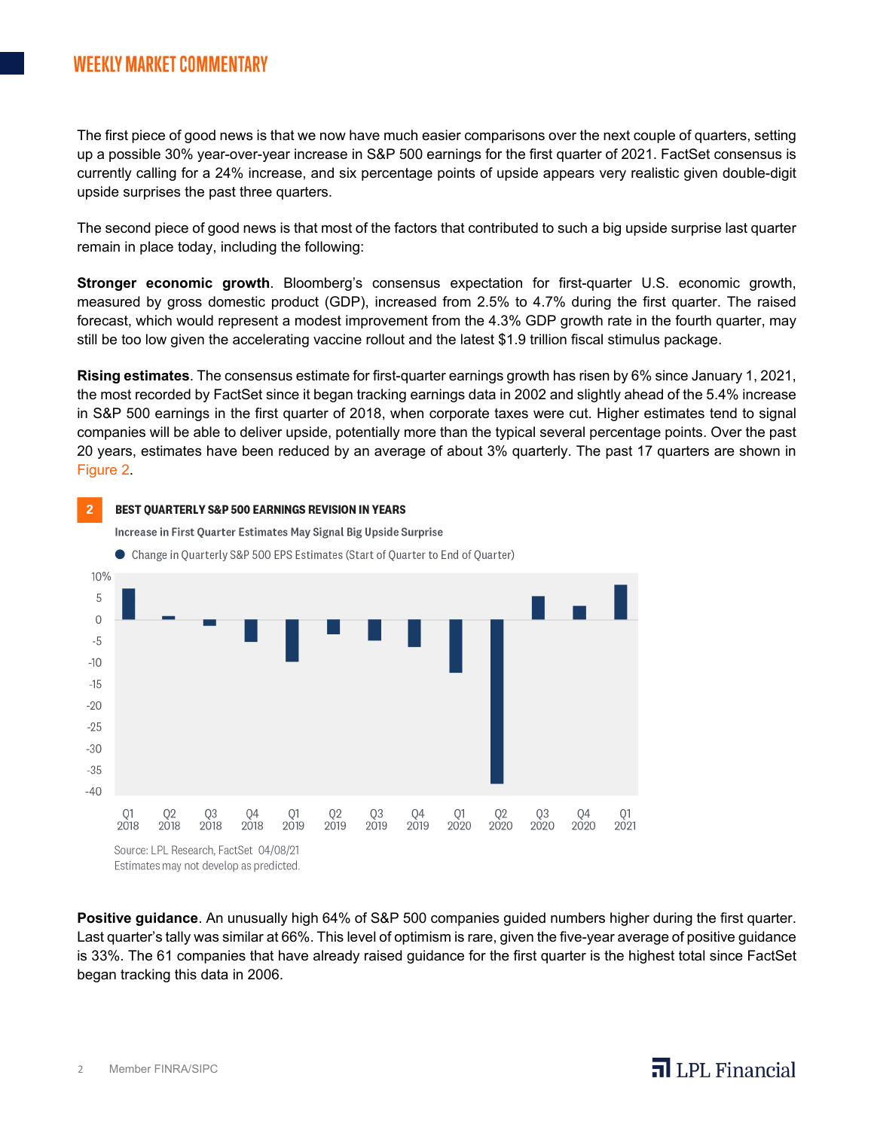## **WEEKLY MARKET COMMENTARY**

The first piece of good news is that we now have much easier comparisons over the next couple of quarters, setting up a possible 30% year-over-year increase in S&P 500 earnings for the first quarter of 2021. FactSet consensus is currently calling for a 24% increase, and six percentage points of upside appears very realistic given double-digit upside surprises the past three quarters.

The second piece of good news is that most of the factors that contributed to such a big upside surprise last quarter remain in place today, including the following:

**Stronger economic growth**. Bloomberg's consensus expectation for first-quarter U.S. economic growth, measured by gross domestic product (GDP), increased from 2.5% to 4.7% during the first quarter. The raised forecast, which would represent a modest improvement from the 4.3% GDP growth rate in the fourth quarter, may still be too low given the accelerating vaccine rollout and the latest \$1.9 trillion fiscal stimulus package.

**Rising estimates**. The consensus estimate for first-quarter earnings growth has risen by 6% since January 1, 2021, the most recorded by FactSet since it began tracking earnings data in 2002 and slightly ahead of the 5.4% increase in S&P 500 earnings in the first quarter of 2018, when corporate taxes were cut. Higher estimates tend to signal companies will be able to deliver upside, potentially more than the typical several percentage points. Over the past 20 years, estimates have been reduced by an average of about 3% quarterly. The past 17 quarters are shown in Figure 2.



**Positive guidance**. An unusually high 64% of S&P 500 companies guided numbers higher during the first quarter. Last quarter's tally was similar at 66%. This level of optimism is rare, given the five-year average of positive guidance is 33%. The 61 companies that have already raised guidance for the first quarter is the highest total since FactSet began tracking this data in 2006.

# $\overline{\mathbf{a}}$  LPL Financial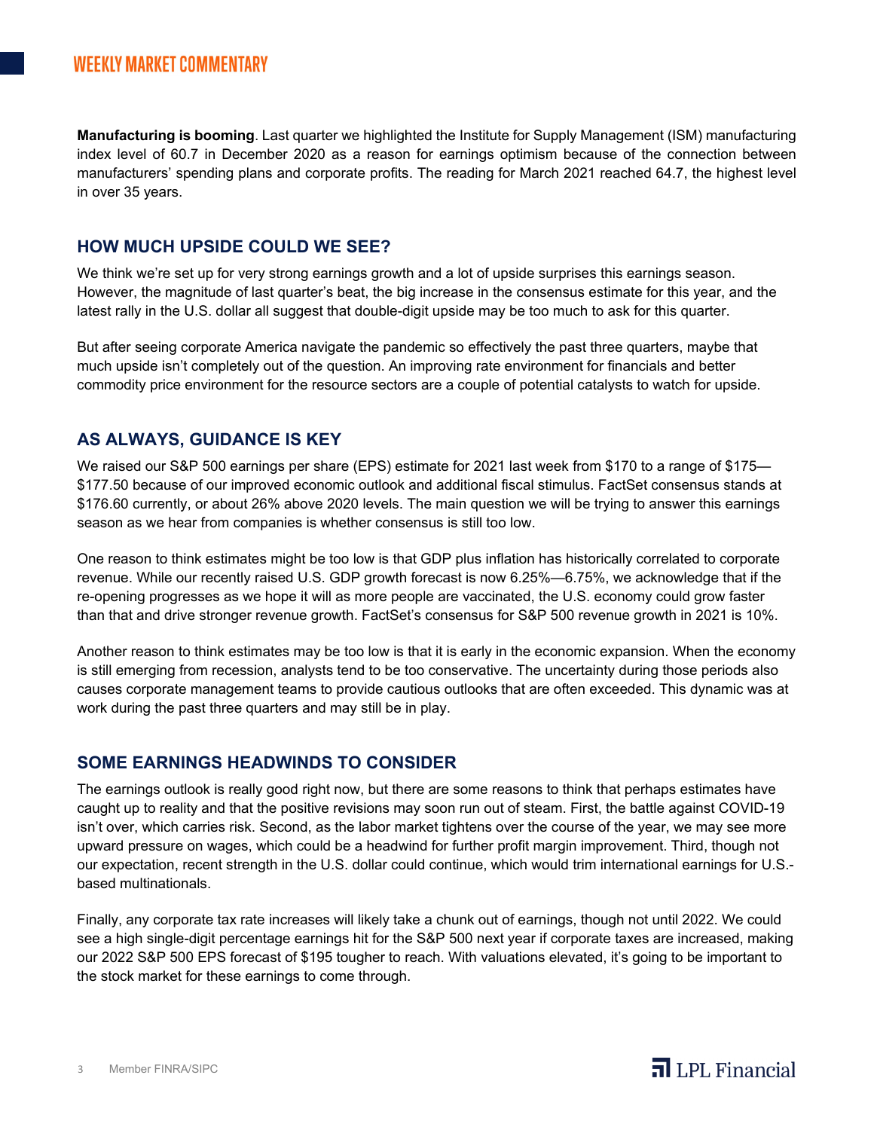**Manufacturing is booming**. Last quarter we highlighted the Institute for Supply Management (ISM) manufacturing index level of 60.7 in December 2020 as a reason for earnings optimism because of the connection between manufacturers' spending plans and corporate profits. The reading for March 2021 reached 64.7, the highest level in over 35 years.

#### **HOW MUCH UPSIDE COULD WE SEE?**

We think we're set up for very strong earnings growth and a lot of upside surprises this earnings season. However, the magnitude of last quarter's beat, the big increase in the consensus estimate for this year, and the latest rally in the U.S. dollar all suggest that double-digit upside may be too much to ask for this quarter.

But after seeing corporate America navigate the pandemic so effectively the past three quarters, maybe that much upside isn't completely out of the question. An improving rate environment for financials and better commodity price environment for the resource sectors are a couple of potential catalysts to watch for upside.

### **AS ALWAYS, GUIDANCE IS KEY**

We raised our S&P 500 earnings per share (EPS) estimate for 2021 last week from \$170 to a range of \$175— \$177.50 because of our improved economic outlook and additional fiscal stimulus. FactSet consensus stands at \$176.60 currently, or about 26% above 2020 levels. The main question we will be trying to answer this earnings season as we hear from companies is whether consensus is still too low.

One reason to think estimates might be too low is that GDP plus inflation has historically correlated to corporate revenue. While our recently raised U.S. GDP growth forecast is now 6.25%—6.75%, we acknowledge that if the re-opening progresses as we hope it will as more people are vaccinated, the U.S. economy could grow faster than that and drive stronger revenue growth. FactSet's consensus for S&P 500 revenue growth in 2021 is 10%.

Another reason to think estimates may be too low is that it is early in the economic expansion. When the economy is still emerging from recession, analysts tend to be too conservative. The uncertainty during those periods also causes corporate management teams to provide cautious outlooks that are often exceeded. This dynamic was at work during the past three quarters and may still be in play.

#### **SOME EARNINGS HEADWINDS TO CONSIDER**

The earnings outlook is really good right now, but there are some reasons to think that perhaps estimates have caught up to reality and that the positive revisions may soon run out of steam. First, the battle against COVID-19 isn't over, which carries risk. Second, as the labor market tightens over the course of the year, we may see more upward pressure on wages, which could be a headwind for further profit margin improvement. Third, though not our expectation, recent strength in the U.S. dollar could continue, which would trim international earnings for U.S. based multinationals.

Finally, any corporate tax rate increases will likely take a chunk out of earnings, though not until 2022. We could see a high single-digit percentage earnings hit for the S&P 500 next year if corporate taxes are increased, making our 2022 S&P 500 EPS forecast of \$195 tougher to reach. With valuations elevated, it's going to be important to the stock market for these earnings to come through.

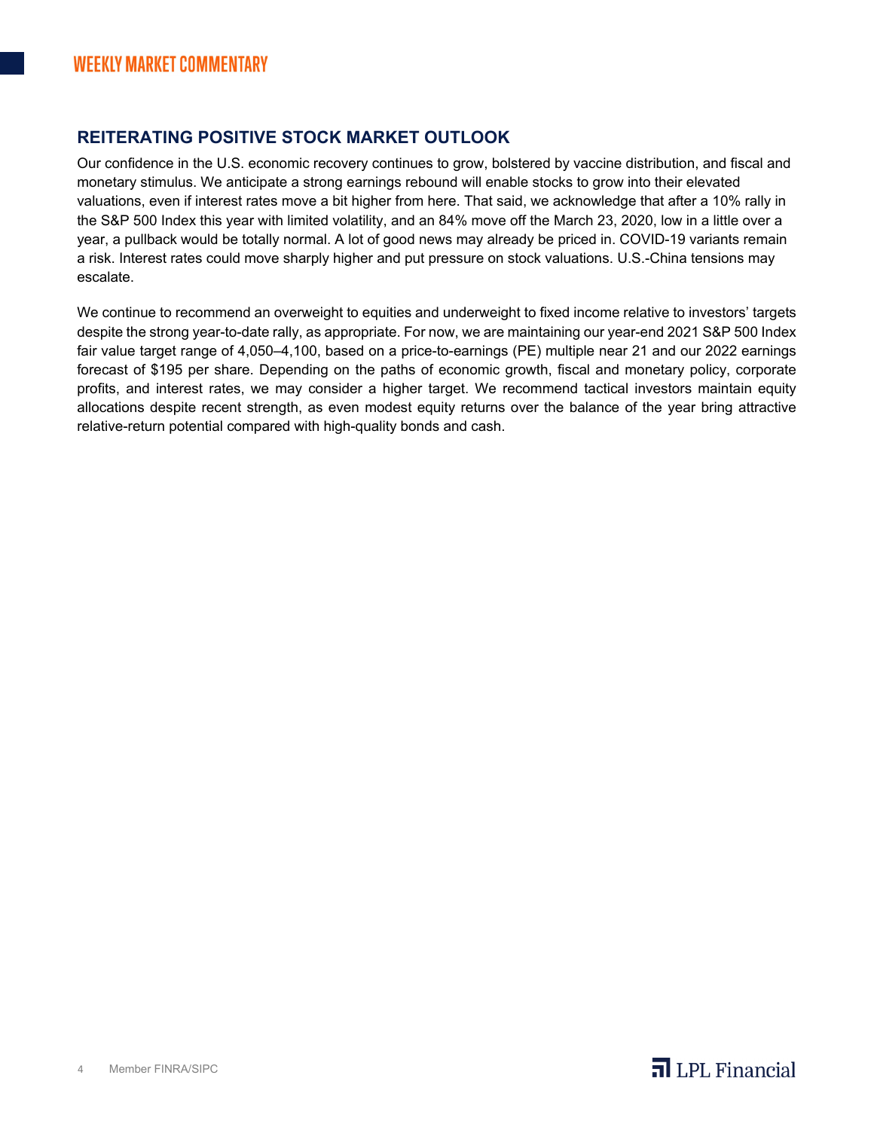## **REITERATING POSITIVE STOCK MARKET OUTLOOK**

Our confidence in the U.S. economic recovery continues to grow, bolstered by vaccine distribution, and fiscal and monetary stimulus. We anticipate a strong earnings rebound will enable stocks to grow into their elevated valuations, even if interest rates move a bit higher from here. That said, we acknowledge that after a 10% rally in the S&P 500 Index this year with limited volatility, and an 84% move off the March 23, 2020, low in a little over a year, a pullback would be totally normal. A lot of good news may already be priced in. COVID-19 variants remain a risk. Interest rates could move sharply higher and put pressure on stock valuations. U.S.-China tensions may escalate.

We continue to recommend an overweight to equities and underweight to fixed income relative to investors' targets despite the strong year-to-date rally, as appropriate. For now, we are maintaining our year-end 2021 S&P 500 Index fair value target range of 4,050–4,100, based on a price-to-earnings (PE) multiple near 21 and our 2022 earnings forecast of \$195 per share. Depending on the paths of economic growth, fiscal and monetary policy, corporate profits, and interest rates, we may consider a higher target. We recommend tactical investors maintain equity allocations despite recent strength, as even modest equity returns over the balance of the year bring attractive relative-return potential compared with high-quality bonds and cash.